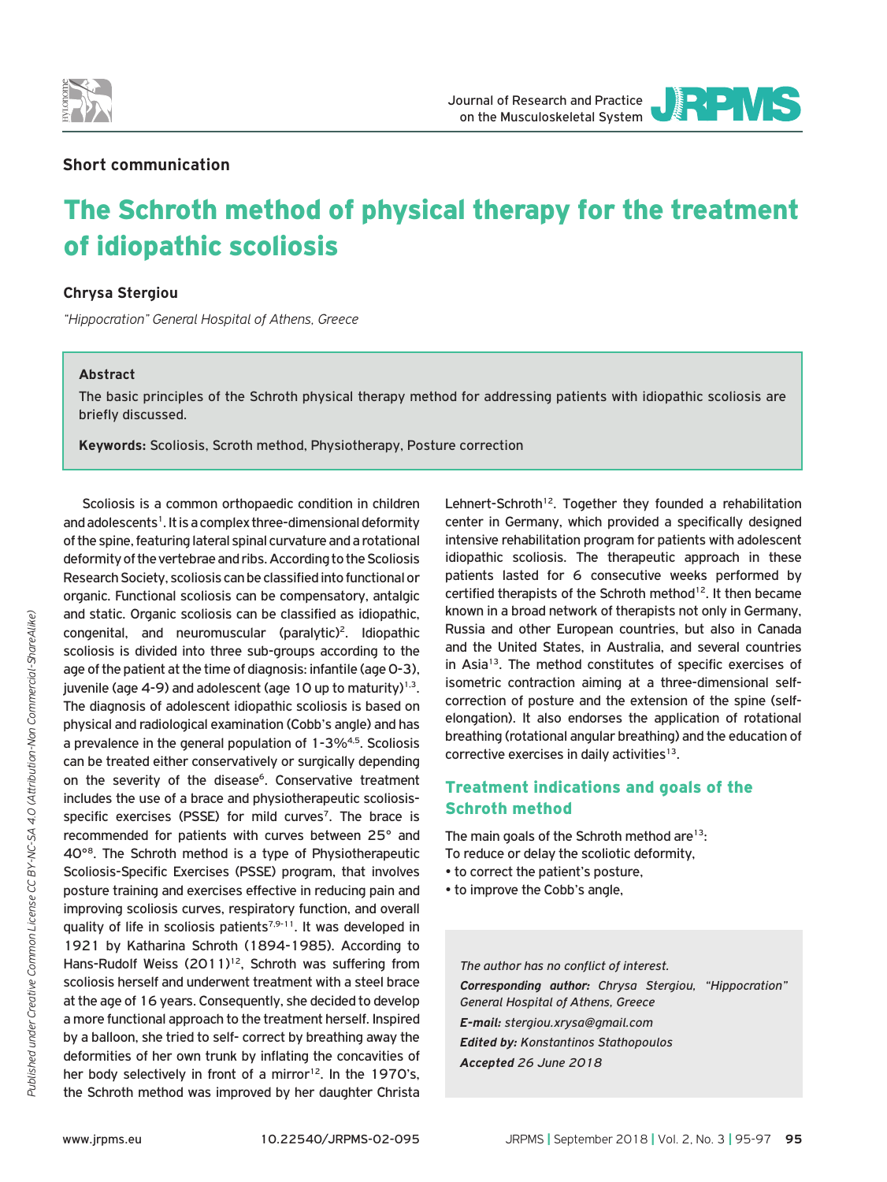

JOURNAL OF RESEARCH AND PRACTICE

# **Short communication**

# The Schroth method of physical therapy for the treatment of idiopathic scoliosis

## **Chrysa Stergiou**

*"Hippocration" General Hospital of Athens, Greece*

### **Abstract**

The basic principles of the Schroth physical therapy method for addressing patients with idiopathic scoliosis are briefly discussed.

**Keywords:** Scoliosis, Scroth method, Physiotherapy, Posture correction

Scoliosis is a common orthopaedic condition in children and adolescents<sup>1</sup>. It is a complex three-dimensional deformity of the spine, featuring lateral spinal curvature and a rotational deformity of the vertebrae and ribs. According to the Scoliosis Research Society, scoliosis can be classified into functional or organic. Functional scoliosis can be compensatory, antalgic and static. Organic scoliosis can be classified as idiopathic, congenital, and neuromuscular (paralytic)2. Idiopathic scoliosis is divided into three sub-groups according to the age of the patient at the time of diagnosis: infantile (age 0-3), juvenile (age 4-9) and adolescent (age 10 up to maturity) $1,3$ . The diagnosis of adolescent idiopathic scoliosis is based on physical and radiological examination (Cobb's angle) and has a prevalence in the general population of 1-3%4,5. Scoliosis can be treated either conservatively or surgically depending on the severity of the disease<sup>6</sup>. Conservative treatment includes the use of a brace and physiotherapeutic scoliosisspecific exercises (PSSE) for mild curves<sup>7</sup>. The brace is recommended for patients with curves between 25° and 40°8. The Schroth method is a type of Physiotherapeutic Scoliosis-Specific Exercises (PSSE) program, that involves posture training and exercises effective in reducing pain and improving scoliosis curves, respiratory function, and overall quality of life in scoliosis patients<sup>7,9-11</sup>. It was developed in 1921 by Katharina Schroth (1894-1985). According to Hans-Rudolf Weiss (2011)<sup>12</sup>, Schroth was suffering from scoliosis herself and underwent treatment with a steel brace at the age of 16 years. Consequently, she decided to develop a more functional approach to the treatment herself. Inspired by a balloon, she tried to self- correct by breathing away the deformities of her own trunk by inflating the concavities of her body selectively in front of a mirror<sup>12</sup>. In the 1970's, the Schroth method was improved by her daughter Christa

Lehnert-Schroth<sup>12</sup>. Together they founded a rehabilitation center in Germany, which provided a specifically designed intensive rehabilitation program for patients with adolescent idiopathic scoliosis. The therapeutic approach in these patients lasted for 6 consecutive weeks performed by certified therapists of the Schroth method<sup>12</sup>. It then became known in a broad network of therapists not only in Germany, Russia and other European countries, but also in Canada and the United States, in Australia, and several countries in Asia<sup>13</sup>. The method constitutes of specific exercises of isometric contraction aiming at a three-dimensional selfcorrection of posture and the extension of the spine (selfelongation). It also endorses the application of rotational breathing (rotational angular breathing) and the education of corrective exercises in daily activities<sup>13</sup>.

# Treatment indications and goals of the Schroth method

The main goals of the Schroth method are $13$ : To reduce or delay the scoliotic deformity,

- to correct the patient's posture,
- to improve the Cobb's angle,

*The author has no conflict of interest. Corresponding author: Chrysa Stergiou, "Hippocration" General Hospital of Athens, Greece E-mail: stergiou.xrysa@gmail.com Edited by: Konstantinos Stathopoulos Accepted 26 June 2018*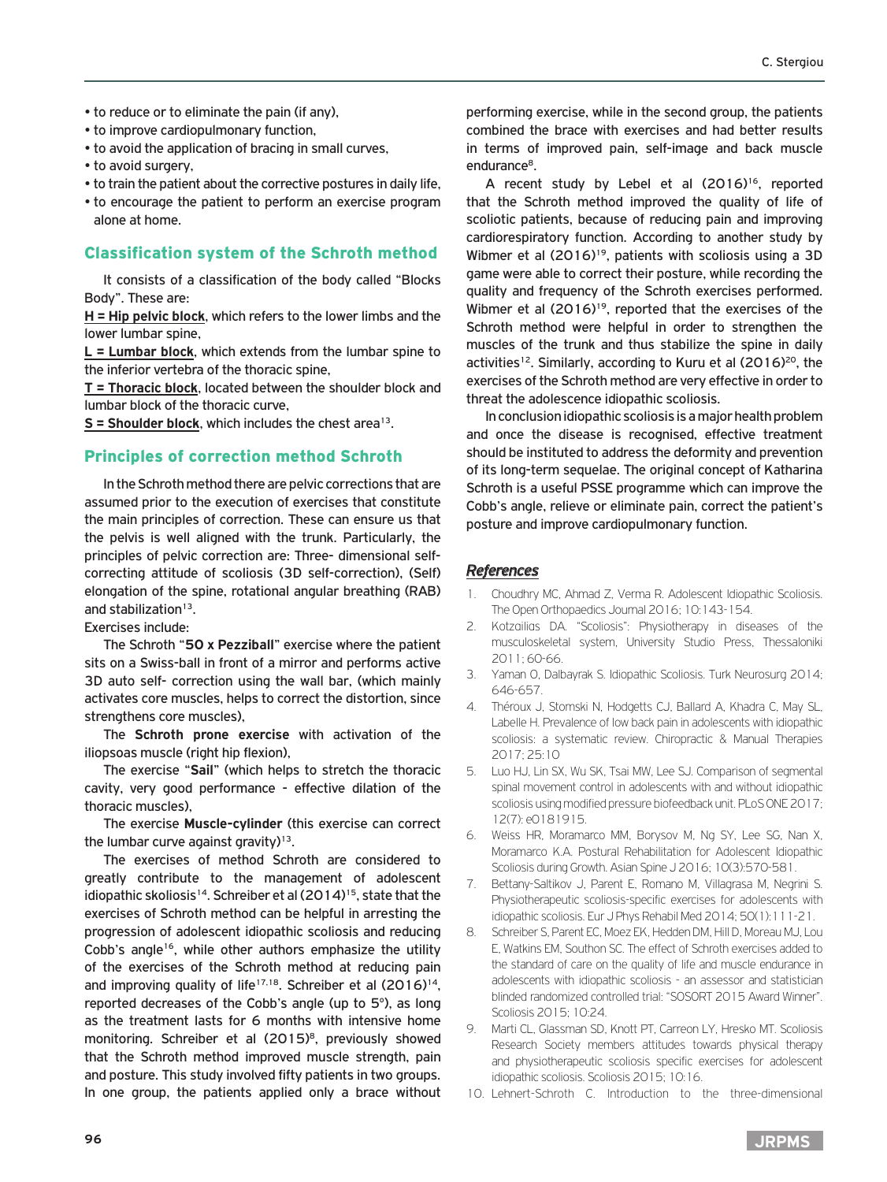- to reduce or to eliminate the pain (if any),
- to improve cardiopulmonary function,
- to avoid the application of bracing in small curves,
- to avoid surgery,
- to train the patient about the corrective postures in daily life,
- to encourage the patient to perform an exercise program alone at home.

## Classification system of the Schroth method

It consists of a classification of the body called "Blocks Body". These are:

**H = Hip pelvic block**, which refers to the lower limbs and the lower lumbar spine,

**L = Lumbar block**, which extends from the lumbar spine to the inferior vertebra of the thoracic spine,

**T = Thoracic block**, located between the shoulder block and lumbar block of the thoracic curve,

 $S =$  Shoulder block, which includes the chest area<sup>13</sup>.

### Principles of correction method Schroth

In the Schroth method there are pelvic corrections that are assumed prior to the execution of exercises that constitute the main principles of correction. These can ensure us that the pelvis is well aligned with the trunk. Particularly, the principles of pelvic correction are: Three- dimensional selfcorrecting attitude of scoliosis (3D self-correction), (Self) elongation of the spine, rotational angular breathing (RAB) and stabilization<sup>13</sup>.

Exercises include:

The Schroth "**50 x Pezziball**" exercise where the patient sits on a Swiss-ball in front of a mirror and performs active 3D auto self- correction using the wall bar, (which mainly activates core muscles, helps to correct the distortion, since strengthens core muscles),

The **Schroth prone exercise** with activation of the iliopsoas muscle (right hip flexion),

The exercise "**Sail**" (which helps to stretch the thoracic cavity, very good performance - effective dilation of the thoracic muscles),

The exercise **Muscle-cylinder** (this exercise can correct the lumbar curve against gravity) $13$ .

The exercises of method Schroth are considered to greatly contribute to the management of adolescent idiopathic skoliosis<sup>14</sup>. Schreiber et al (2014)<sup>15</sup>, state that the exercises of Schroth method can be helpful in arresting the progression of adolescent idiopathic scoliosis and reducing Cobb's angle<sup>16</sup>, while other authors emphasize the utility of the exercises of the Schroth method at reducing pain and improving quality of life<sup>17,18</sup>. Schreiber et al  $(2016)^{14}$ , reported decreases of the Cobb's angle (up to 5°), as long as the treatment lasts for 6 months with intensive home monitoring. Schreiber et al (2015)<sup>8</sup>, previously showed that the Schroth method improved muscle strength, pain and posture. This study involved fifty patients in two groups. In one group, the patients applied only a brace without performing exercise, while in the second group, the patients combined the brace with exercises and had better results in terms of improved pain, self-image and back muscle endurance<sup>8</sup>.

A recent study by Lebel et al (2016)<sup>16</sup>, reported that the Schroth method improved the quality of life of scoliotic patients, because of reducing pain and improving cardiorespiratory function. According to another study by Wibmer et al  $(2016)^{19}$ , patients with scoliosis using a 3D game were able to correct their posture, while recording the quality and frequency of the Schroth exercises performed. Wibmer et al (2016)<sup>19</sup>, reported that the exercises of the Schroth method were helpful in order to strengthen the muscles of the trunk and thus stabilize the spine in daily activities<sup>12</sup>. Similarly, according to Kuru et al  $(2016)^{20}$ , the exercises of the Schroth method are very effective in order to threat the adolescence idiopathic scoliosis.

In conclusion idiopathic scoliosis is a major health problem and once the disease is recognised, effective treatment should be instituted to address the deformity and prevention of its long-term sequelae. The original concept of Katharina Schroth is a useful PSSE programme which can improve the Cobb's angle, relieve or eliminate pain, correct the patient's posture and improve cardiopulmonary function.

### *References*

- 1. Choudhry MC, Ahmad Z, Verma R. Adolescent Idiopathic Scoliosis. The Open Orthopaedics Journal 2016; 10:143-154.
- 2. Kotzαiliαs DA. "Scoliosis": Physiotherapy in diseases of the musculoskeletal system, University Studio Press, Thessaloniki 2011; 60-66.
- 3. Yaman O, Dalbayrak S. Idiopathic Scoliosis. Turk Neurosurg 2014; 646-657.
- 4. Théroux J, Stomski N, Hodgetts CJ, Ballard A, Khadra C, May SL, Labelle H. Prevalence of low back pain in adolescents with idiopathic scoliosis: a systematic review. Chiropractic & Manual Therapies 2017; 25:10
- 5. Luo HJ, Lin SX, Wu SK, Tsai MW, Lee SJ. Comparison of segmental spinal movement control in adolescents with and without idiopathic scoliosis using modified pressure biofeedback unit. PLoS ONE 2017; 12(7): e0181915.
- 6. Weiss HR, Moramarco MM, Borysov M, Ng SY, Lee SG, Nan X, Moramarco K.A. Postural Rehabilitation for Adolescent Idiopathic Scoliosis during Growth. Asian Spine J 2016; 10(3):570-581.
- 7. Bettany-Saltikov J, Parent E, Romano M, Villagrasa M, Negrini S. Physiotherapeutic scoliosis-specific exercises for adolescents with idiopathic scoliosis. Eur J Phys Rehabil Med 2014; 50(1):111-21.
- 8. Schreiber S, Parent EC, Moez EK, Hedden DM, Hill D, Moreau MJ, Lou E, Watkins EM, Southon SC. The effect of Schroth exercises added to the standard of care on the quality of life and muscle endurance in adolescents with idiopathic scoliosis - an assessor and statistician blinded randomized controlled trial: "SOSORT 2015 Award Winner". Scoliosis 2015; 10:24.
- 9. Marti CL, Glassman SD, Knott PT, Carreon LY, Hresko MT. Scoliosis Research Society members attitudes towards physical therapy and physiotherapeutic scoliosis specific exercises for adolescent idiopathic scoliosis. Scoliosis 2015; 10:16.
- 10. Lehnert-Schroth C. Introduction to the three-dimensional